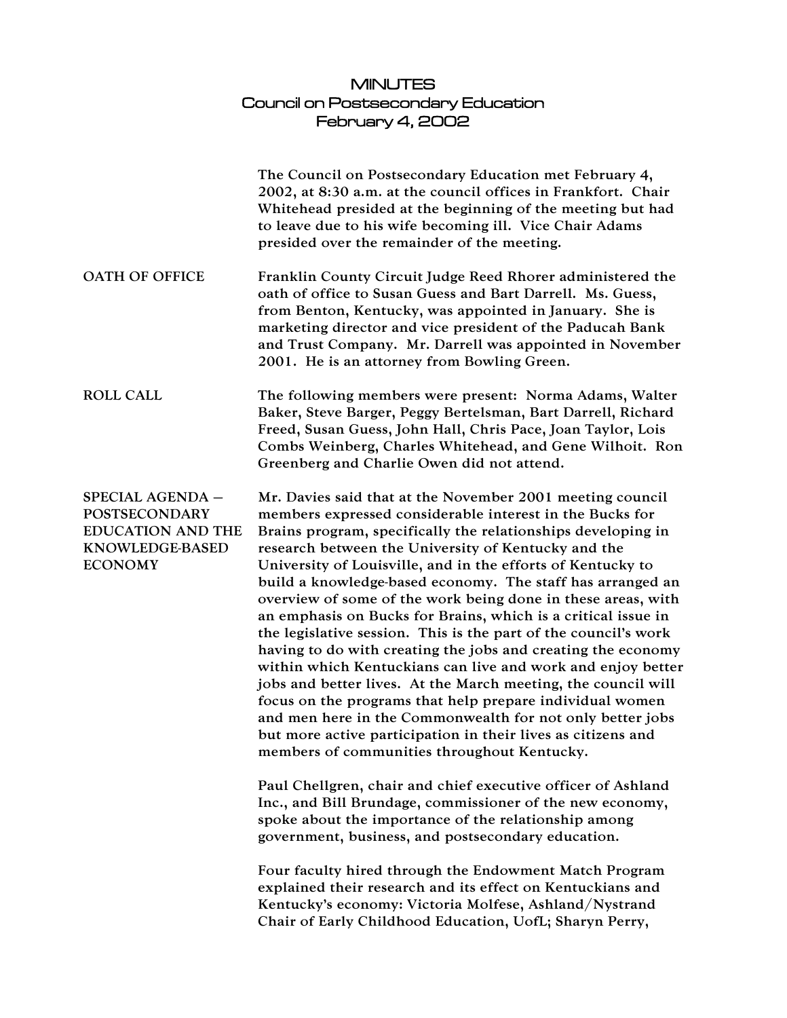## MINUTES Council on Postsecondary Education February 4, 2002

|                                                                                                           | The Council on Postsecondary Education met February 4,<br>2002, at 8:30 a.m. at the council offices in Frankfort. Chair<br>Whitehead presided at the beginning of the meeting but had<br>to leave due to his wife becoming ill. Vice Chair Adams<br>presided over the remainder of the meeting.                                                                                                                                                                                                                                                                                                                                                                                                                                                                                                                                                                                                                                                                                                                       |
|-----------------------------------------------------------------------------------------------------------|-----------------------------------------------------------------------------------------------------------------------------------------------------------------------------------------------------------------------------------------------------------------------------------------------------------------------------------------------------------------------------------------------------------------------------------------------------------------------------------------------------------------------------------------------------------------------------------------------------------------------------------------------------------------------------------------------------------------------------------------------------------------------------------------------------------------------------------------------------------------------------------------------------------------------------------------------------------------------------------------------------------------------|
| <b>OATH OF OFFICE</b>                                                                                     | Franklin County Circuit Judge Reed Rhorer administered the<br>oath of office to Susan Guess and Bart Darrell. Ms. Guess,<br>from Benton, Kentucky, was appointed in January. She is<br>marketing director and vice president of the Paducah Bank<br>and Trust Company. Mr. Darrell was appointed in November<br>2001. He is an attorney from Bowling Green.                                                                                                                                                                                                                                                                                                                                                                                                                                                                                                                                                                                                                                                           |
| <b>ROLL CALL</b>                                                                                          | The following members were present: Norma Adams, Walter<br>Baker, Steve Barger, Peggy Bertelsman, Bart Darrell, Richard<br>Freed, Susan Guess, John Hall, Chris Pace, Joan Taylor, Lois<br>Combs Weinberg, Charles Whitehead, and Gene Wilhoit. Ron<br>Greenberg and Charlie Owen did not attend.                                                                                                                                                                                                                                                                                                                                                                                                                                                                                                                                                                                                                                                                                                                     |
| SPECIAL AGENDA -<br><b>POSTSECONDARY</b><br><b>EDUCATION AND THE</b><br>KNOWLEDGE-BASED<br><b>ECONOMY</b> | Mr. Davies said that at the November 2001 meeting council<br>members expressed considerable interest in the Bucks for<br>Brains program, specifically the relationships developing in<br>research between the University of Kentucky and the<br>University of Louisville, and in the efforts of Kentucky to<br>build a knowledge-based economy. The staff has arranged an<br>overview of some of the work being done in these areas, with<br>an emphasis on Bucks for Brains, which is a critical issue in<br>the legislative session. This is the part of the council's work<br>having to do with creating the jobs and creating the economy<br>within which Kentuckians can live and work and enjoy better<br>jobs and better lives. At the March meeting, the council will<br>focus on the programs that help prepare individual women<br>and men here in the Commonwealth for not only better jobs<br>but more active participation in their lives as citizens and<br>members of communities throughout Kentucky. |
|                                                                                                           | Paul Chellgren, chair and chief executive officer of Ashland<br>Inc., and Bill Brundage, commissioner of the new economy,<br>spoke about the importance of the relationship among<br>government, business, and postsecondary education.                                                                                                                                                                                                                                                                                                                                                                                                                                                                                                                                                                                                                                                                                                                                                                               |
|                                                                                                           | Four faculty hired through the Endowment Match Program<br>explained their research and its effect on Kentuckians and<br>Kentucky's economy: Victoria Molfese, Ashland/Nystrand<br>Chair of Early Childhood Education, UofL; Sharyn Perry,                                                                                                                                                                                                                                                                                                                                                                                                                                                                                                                                                                                                                                                                                                                                                                             |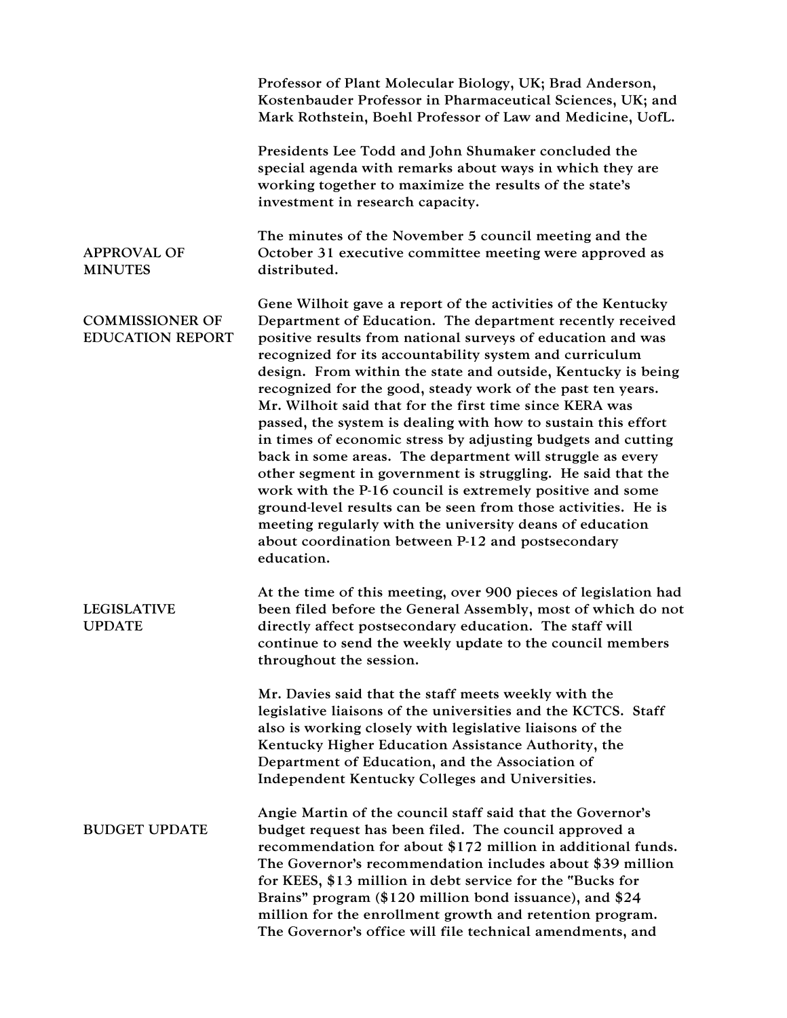|                                                   | Professor of Plant Molecular Biology, UK; Brad Anderson,<br>Kostenbauder Professor in Pharmaceutical Sciences, UK; and<br>Mark Rothstein, Boehl Professor of Law and Medicine, UofL.                                                                                                                                                                                                                                                                                                                                                                                                                                                                                                                                                                                                                                                                                                                                                                                    |
|---------------------------------------------------|-------------------------------------------------------------------------------------------------------------------------------------------------------------------------------------------------------------------------------------------------------------------------------------------------------------------------------------------------------------------------------------------------------------------------------------------------------------------------------------------------------------------------------------------------------------------------------------------------------------------------------------------------------------------------------------------------------------------------------------------------------------------------------------------------------------------------------------------------------------------------------------------------------------------------------------------------------------------------|
|                                                   | Presidents Lee Todd and John Shumaker concluded the<br>special agenda with remarks about ways in which they are<br>working together to maximize the results of the state's<br>investment in research capacity.                                                                                                                                                                                                                                                                                                                                                                                                                                                                                                                                                                                                                                                                                                                                                          |
| <b>APPROVAL OF</b><br><b>MINUTES</b>              | The minutes of the November 5 council meeting and the<br>October 31 executive committee meeting were approved as<br>distributed.                                                                                                                                                                                                                                                                                                                                                                                                                                                                                                                                                                                                                                                                                                                                                                                                                                        |
| <b>COMMISSIONER OF</b><br><b>EDUCATION REPORT</b> | Gene Wilhoit gave a report of the activities of the Kentucky<br>Department of Education. The department recently received<br>positive results from national surveys of education and was<br>recognized for its accountability system and curriculum<br>design. From within the state and outside, Kentucky is being<br>recognized for the good, steady work of the past ten years.<br>Mr. Wilhoit said that for the first time since KERA was<br>passed, the system is dealing with how to sustain this effort<br>in times of economic stress by adjusting budgets and cutting<br>back in some areas. The department will struggle as every<br>other segment in government is struggling. He said that the<br>work with the P-16 council is extremely positive and some<br>ground-level results can be seen from those activities. He is<br>meeting regularly with the university deans of education<br>about coordination between P-12 and postsecondary<br>education. |
| <b>LEGISLATIVE</b><br><b>UPDATE</b>               | At the time of this meeting, over 900 pieces of legislation had<br>been filed before the General Assembly, most of which do not<br>directly affect postsecondary education. The staff will<br>continue to send the weekly update to the council members<br>throughout the session.                                                                                                                                                                                                                                                                                                                                                                                                                                                                                                                                                                                                                                                                                      |
|                                                   | Mr. Davies said that the staff meets weekly with the<br>legislative liaisons of the universities and the KCTCS. Staff<br>also is working closely with legislative liaisons of the<br>Kentucky Higher Education Assistance Authority, the<br>Department of Education, and the Association of<br>Independent Kentucky Colleges and Universities.                                                                                                                                                                                                                                                                                                                                                                                                                                                                                                                                                                                                                          |
| <b>BUDGET UPDATE</b>                              | Angie Martin of the council staff said that the Governor's<br>budget request has been filed. The council approved a<br>recommendation for about \$172 million in additional funds.<br>The Governor's recommendation includes about \$39 million<br>for KEES, \$13 million in debt service for the "Bucks for<br>Brains" program (\$120 million bond issuance), and \$24<br>million for the enrollment growth and retention program.<br>The Governor's office will file technical amendments, and                                                                                                                                                                                                                                                                                                                                                                                                                                                                        |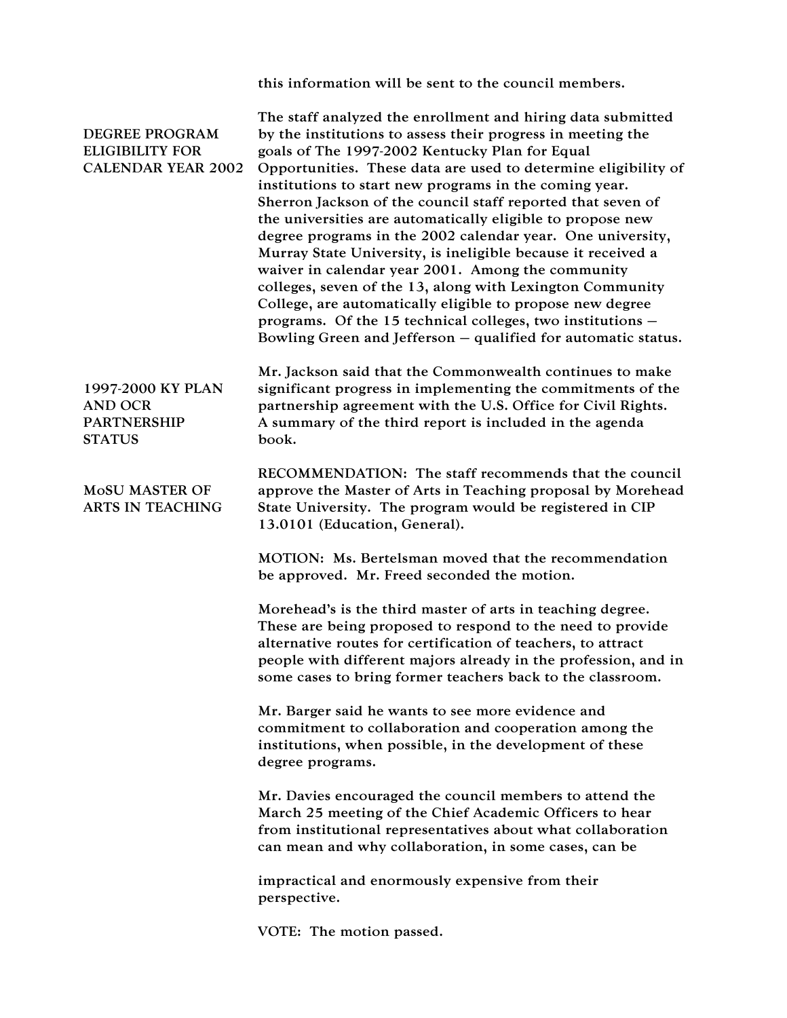|                                                                              | this information will be sent to the council members.                                                                                                                                                                                                                                                                                                                                                                                                                                                                                                                                                                                                                                                                                                                                                                                                                             |
|------------------------------------------------------------------------------|-----------------------------------------------------------------------------------------------------------------------------------------------------------------------------------------------------------------------------------------------------------------------------------------------------------------------------------------------------------------------------------------------------------------------------------------------------------------------------------------------------------------------------------------------------------------------------------------------------------------------------------------------------------------------------------------------------------------------------------------------------------------------------------------------------------------------------------------------------------------------------------|
| <b>DEGREE PROGRAM</b><br><b>ELIGIBILITY FOR</b><br><b>CALENDAR YEAR 2002</b> | The staff analyzed the enrollment and hiring data submitted<br>by the institutions to assess their progress in meeting the<br>goals of The 1997-2002 Kentucky Plan for Equal<br>Opportunities. These data are used to determine eligibility of<br>institutions to start new programs in the coming year.<br>Sherron Jackson of the council staff reported that seven of<br>the universities are automatically eligible to propose new<br>degree programs in the 2002 calendar year. One university,<br>Murray State University, is ineligible because it received a<br>waiver in calendar year 2001. Among the community<br>colleges, seven of the 13, along with Lexington Community<br>College, are automatically eligible to propose new degree<br>programs. Of the 15 technical colleges, two institutions -<br>Bowling Green and Jefferson – qualified for automatic status. |
| 1997-2000 KY PLAN<br><b>AND OCR</b><br><b>PARTNERSHIP</b><br><b>STATUS</b>   | Mr. Jackson said that the Commonwealth continues to make<br>significant progress in implementing the commitments of the<br>partnership agreement with the U.S. Office for Civil Rights.<br>A summary of the third report is included in the agenda<br>book.                                                                                                                                                                                                                                                                                                                                                                                                                                                                                                                                                                                                                       |
| <b>MOSU MASTER OF</b><br><b>ARTS IN TEACHING</b>                             | RECOMMENDATION: The staff recommends that the council<br>approve the Master of Arts in Teaching proposal by Morehead<br>State University. The program would be registered in CIP<br>13.0101 (Education, General).                                                                                                                                                                                                                                                                                                                                                                                                                                                                                                                                                                                                                                                                 |
|                                                                              | MOTION: Ms. Bertelsman moved that the recommendation<br>be approved. Mr. Freed seconded the motion.                                                                                                                                                                                                                                                                                                                                                                                                                                                                                                                                                                                                                                                                                                                                                                               |
|                                                                              | Morehead's is the third master of arts in teaching degree.<br>These are being proposed to respond to the need to provide<br>alternative routes for certification of teachers, to attract<br>people with different majors already in the profession, and in<br>some cases to bring former teachers back to the classroom.                                                                                                                                                                                                                                                                                                                                                                                                                                                                                                                                                          |
|                                                                              | Mr. Barger said he wants to see more evidence and<br>commitment to collaboration and cooperation among the<br>institutions, when possible, in the development of these<br>degree programs.                                                                                                                                                                                                                                                                                                                                                                                                                                                                                                                                                                                                                                                                                        |
|                                                                              | Mr. Davies encouraged the council members to attend the<br>March 25 meeting of the Chief Academic Officers to hear<br>from institutional representatives about what collaboration<br>can mean and why collaboration, in some cases, can be                                                                                                                                                                                                                                                                                                                                                                                                                                                                                                                                                                                                                                        |
|                                                                              | impractical and enormously expensive from their<br>perspective.                                                                                                                                                                                                                                                                                                                                                                                                                                                                                                                                                                                                                                                                                                                                                                                                                   |
|                                                                              | VOTE: The motion passed.                                                                                                                                                                                                                                                                                                                                                                                                                                                                                                                                                                                                                                                                                                                                                                                                                                                          |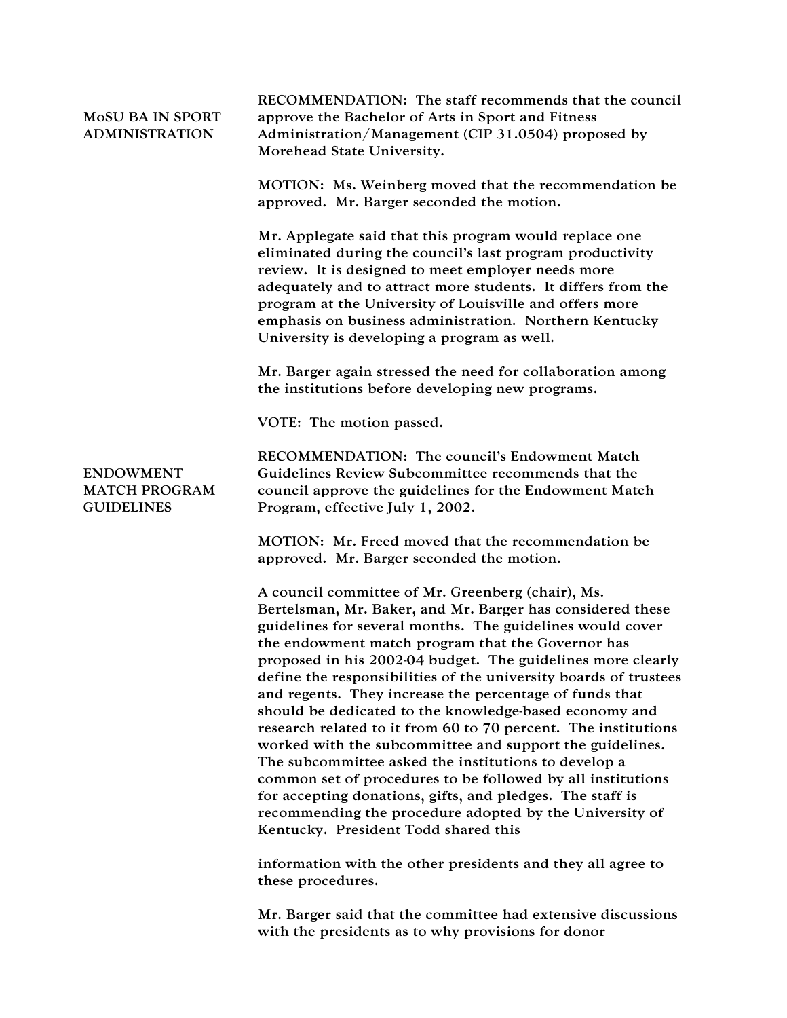| <b>MOSU BA IN SPORT</b><br><b>ADMINISTRATION</b>              | RECOMMENDATION: The staff recommends that the council<br>approve the Bachelor of Arts in Sport and Fitness<br>Administration/Management (CIP 31.0504) proposed by<br>Morehead State University.                                                                                                                                                                                                                                                                                                                                                                                                                                                                                                                                                                                                                                                                                                                                                                               |
|---------------------------------------------------------------|-------------------------------------------------------------------------------------------------------------------------------------------------------------------------------------------------------------------------------------------------------------------------------------------------------------------------------------------------------------------------------------------------------------------------------------------------------------------------------------------------------------------------------------------------------------------------------------------------------------------------------------------------------------------------------------------------------------------------------------------------------------------------------------------------------------------------------------------------------------------------------------------------------------------------------------------------------------------------------|
|                                                               | MOTION: Ms. Weinberg moved that the recommendation be<br>approved. Mr. Barger seconded the motion.                                                                                                                                                                                                                                                                                                                                                                                                                                                                                                                                                                                                                                                                                                                                                                                                                                                                            |
|                                                               | Mr. Applegate said that this program would replace one<br>eliminated during the council's last program productivity<br>review. It is designed to meet employer needs more<br>adequately and to attract more students. It differs from the<br>program at the University of Louisville and offers more<br>emphasis on business administration. Northern Kentucky<br>University is developing a program as well.                                                                                                                                                                                                                                                                                                                                                                                                                                                                                                                                                                 |
|                                                               | Mr. Barger again stressed the need for collaboration among<br>the institutions before developing new programs.                                                                                                                                                                                                                                                                                                                                                                                                                                                                                                                                                                                                                                                                                                                                                                                                                                                                |
|                                                               | VOTE: The motion passed.                                                                                                                                                                                                                                                                                                                                                                                                                                                                                                                                                                                                                                                                                                                                                                                                                                                                                                                                                      |
| <b>ENDOWMENT</b><br><b>MATCH PROGRAM</b><br><b>GUIDELINES</b> | RECOMMENDATION: The council's Endowment Match<br>Guidelines Review Subcommittee recommends that the<br>council approve the guidelines for the Endowment Match<br>Program, effective July 1, 2002.                                                                                                                                                                                                                                                                                                                                                                                                                                                                                                                                                                                                                                                                                                                                                                             |
|                                                               | MOTION: Mr. Freed moved that the recommendation be<br>approved. Mr. Barger seconded the motion.                                                                                                                                                                                                                                                                                                                                                                                                                                                                                                                                                                                                                                                                                                                                                                                                                                                                               |
|                                                               | A council committee of Mr. Greenberg (chair), Ms.<br>Bertelsman, Mr. Baker, and Mr. Barger has considered these<br>guidelines for several months. The guidelines would cover<br>the endowment match program that the Governor has<br>proposed in his 2002-04 budget. The guidelines more clearly<br>define the responsibilities of the university boards of trustees<br>and regents. They increase the percentage of funds that<br>should be dedicated to the knowledge-based economy and<br>research related to it from 60 to 70 percent. The institutions<br>worked with the subcommittee and support the guidelines.<br>The subcommittee asked the institutions to develop a<br>common set of procedures to be followed by all institutions<br>for accepting donations, gifts, and pledges. The staff is<br>recommending the procedure adopted by the University of<br>Kentucky. President Todd shared this<br>information with the other presidents and they all agree to |
|                                                               | these procedures.                                                                                                                                                                                                                                                                                                                                                                                                                                                                                                                                                                                                                                                                                                                                                                                                                                                                                                                                                             |
|                                                               | Mr. Barger said that the committee had extensive discussions<br>with the presidents as to why provisions for donor                                                                                                                                                                                                                                                                                                                                                                                                                                                                                                                                                                                                                                                                                                                                                                                                                                                            |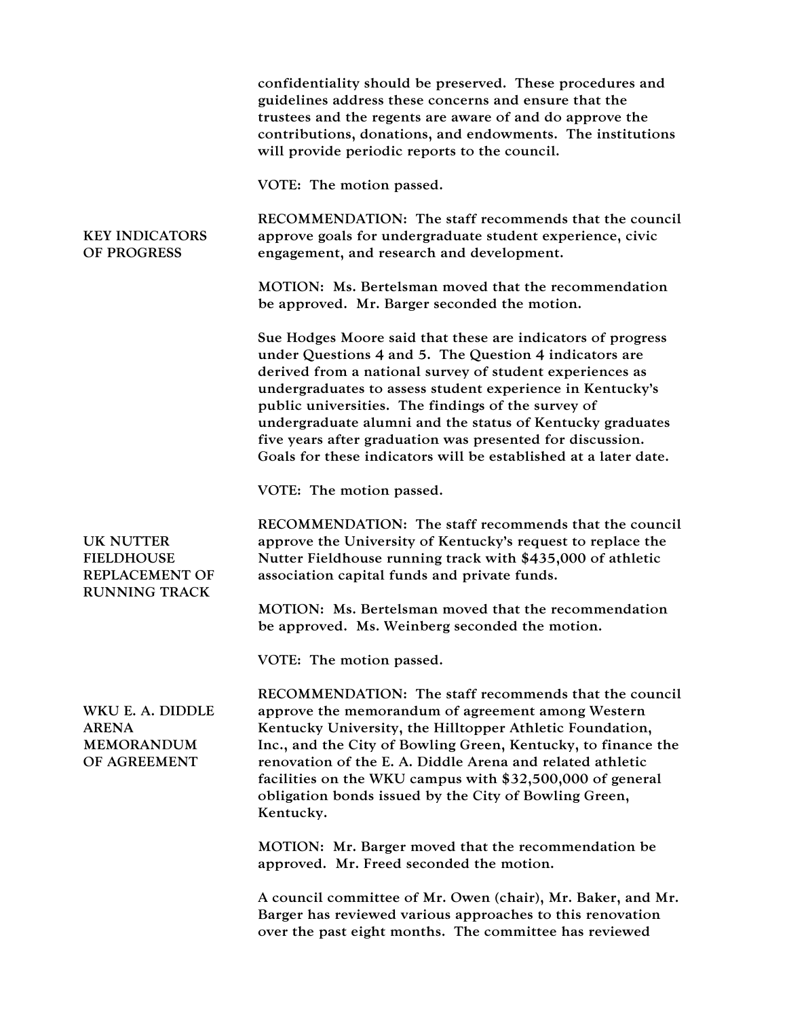|                                                                                        | confidentiality should be preserved. These procedures and<br>guidelines address these concerns and ensure that the<br>trustees and the regents are aware of and do approve the<br>contributions, donations, and endowments. The institutions<br>will provide periodic reports to the council.                                                                                                                                                                                                     |
|----------------------------------------------------------------------------------------|---------------------------------------------------------------------------------------------------------------------------------------------------------------------------------------------------------------------------------------------------------------------------------------------------------------------------------------------------------------------------------------------------------------------------------------------------------------------------------------------------|
| <b>KEY INDICATORS</b><br><b>OF PROGRESS</b>                                            | VOTE: The motion passed.                                                                                                                                                                                                                                                                                                                                                                                                                                                                          |
|                                                                                        | RECOMMENDATION: The staff recommends that the council<br>approve goals for undergraduate student experience, civic<br>engagement, and research and development.                                                                                                                                                                                                                                                                                                                                   |
|                                                                                        | MOTION: Ms. Bertelsman moved that the recommendation<br>be approved. Mr. Barger seconded the motion.                                                                                                                                                                                                                                                                                                                                                                                              |
|                                                                                        | Sue Hodges Moore said that these are indicators of progress<br>under Questions 4 and 5. The Question 4 indicators are<br>derived from a national survey of student experiences as<br>undergraduates to assess student experience in Kentucky's<br>public universities. The findings of the survey of<br>undergraduate alumni and the status of Kentucky graduates<br>five years after graduation was presented for discussion.<br>Goals for these indicators will be established at a later date. |
|                                                                                        | VOTE: The motion passed.                                                                                                                                                                                                                                                                                                                                                                                                                                                                          |
| <b>UK NUTTER</b><br><b>FIELDHOUSE</b><br><b>REPLACEMENT OF</b><br><b>RUNNING TRACK</b> | RECOMMENDATION: The staff recommends that the council<br>approve the University of Kentucky's request to replace the<br>Nutter Fieldhouse running track with \$435,000 of athletic<br>association capital funds and private funds.                                                                                                                                                                                                                                                                |
|                                                                                        | MOTION: Ms. Bertelsman moved that the recommendation<br>be approved. Ms. Weinberg seconded the motion.                                                                                                                                                                                                                                                                                                                                                                                            |
|                                                                                        | VOTE: The motion passed.                                                                                                                                                                                                                                                                                                                                                                                                                                                                          |
| WKU E. A. DIDDLE<br><b>ARENA</b><br><b>MEMORANDUM</b><br>OF AGREEMENT                  | RECOMMENDATION: The staff recommends that the council<br>approve the memorandum of agreement among Western<br>Kentucky University, the Hilltopper Athletic Foundation,<br>Inc., and the City of Bowling Green, Kentucky, to finance the<br>renovation of the E. A. Diddle Arena and related athletic<br>facilities on the WKU campus with \$32,500,000 of general<br>obligation bonds issued by the City of Bowling Green,<br>Kentucky.                                                           |
|                                                                                        | MOTION: Mr. Barger moved that the recommendation be<br>approved. Mr. Freed seconded the motion.                                                                                                                                                                                                                                                                                                                                                                                                   |
|                                                                                        | A council committee of Mr. Owen (chair), Mr. Baker, and Mr.<br>Barger has reviewed various approaches to this renovation<br>over the past eight months. The committee has reviewed                                                                                                                                                                                                                                                                                                                |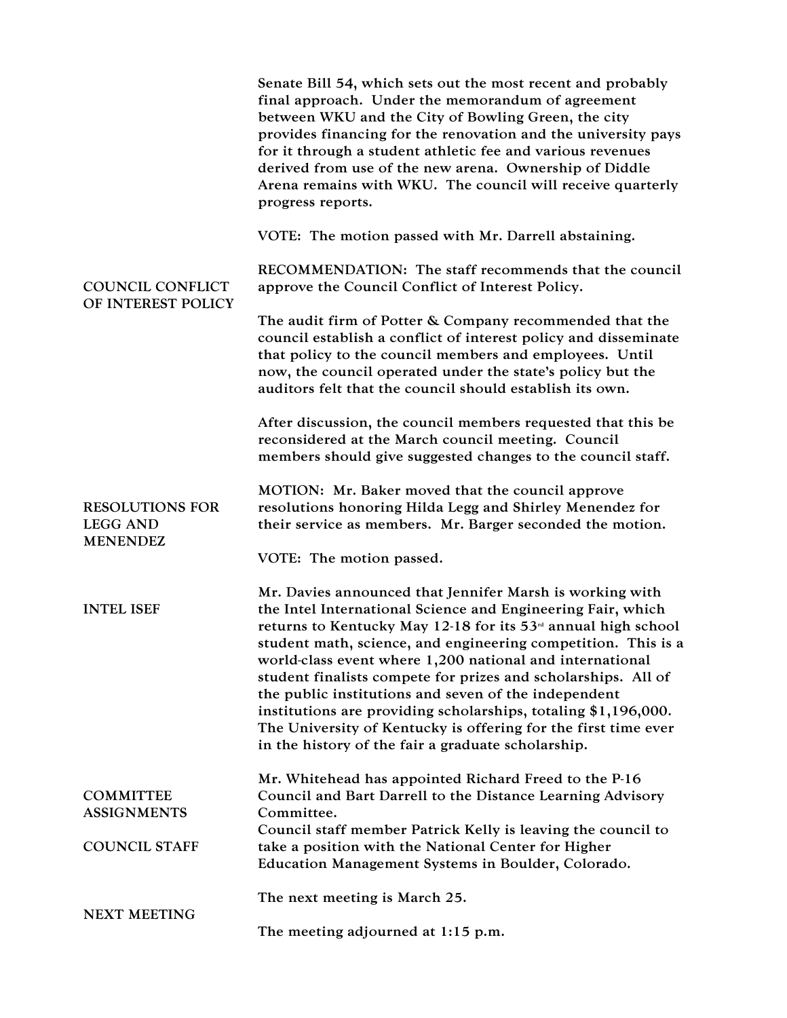|                                                                | Senate Bill 54, which sets out the most recent and probably<br>final approach. Under the memorandum of agreement<br>between WKU and the City of Bowling Green, the city<br>provides financing for the renovation and the university pays<br>for it through a student athletic fee and various revenues<br>derived from use of the new arena. Ownership of Diddle<br>Arena remains with WKU. The council will receive quarterly<br>progress reports.                                                                                                                                                                                                  |
|----------------------------------------------------------------|------------------------------------------------------------------------------------------------------------------------------------------------------------------------------------------------------------------------------------------------------------------------------------------------------------------------------------------------------------------------------------------------------------------------------------------------------------------------------------------------------------------------------------------------------------------------------------------------------------------------------------------------------|
| <b>COUNCIL CONFLICT</b><br>OF INTEREST POLICY                  | VOTE: The motion passed with Mr. Darrell abstaining.                                                                                                                                                                                                                                                                                                                                                                                                                                                                                                                                                                                                 |
|                                                                | RECOMMENDATION: The staff recommends that the council<br>approve the Council Conflict of Interest Policy.                                                                                                                                                                                                                                                                                                                                                                                                                                                                                                                                            |
|                                                                | The audit firm of Potter & Company recommended that the<br>council establish a conflict of interest policy and disseminate<br>that policy to the council members and employees. Until<br>now, the council operated under the state's policy but the<br>auditors felt that the council should establish its own.                                                                                                                                                                                                                                                                                                                                      |
|                                                                | After discussion, the council members requested that this be<br>reconsidered at the March council meeting. Council<br>members should give suggested changes to the council staff.                                                                                                                                                                                                                                                                                                                                                                                                                                                                    |
| <b>RESOLUTIONS FOR</b><br><b>LEGG AND</b><br><b>MENENDEZ</b>   | MOTION: Mr. Baker moved that the council approve<br>resolutions honoring Hilda Legg and Shirley Menendez for<br>their service as members. Mr. Barger seconded the motion.                                                                                                                                                                                                                                                                                                                                                                                                                                                                            |
|                                                                | VOTE: The motion passed.                                                                                                                                                                                                                                                                                                                                                                                                                                                                                                                                                                                                                             |
| <b>INTEL ISEF</b>                                              | Mr. Davies announced that Jennifer Marsh is working with<br>the Intel International Science and Engineering Fair, which<br>returns to Kentucky May 12-18 for its 53 <sup>rd</sup> annual high school<br>student math, science, and engineering competition. This is a<br>world-class event where 1,200 national and international<br>student finalists compete for prizes and scholarships. All of<br>the public institutions and seven of the independent<br>institutions are providing scholarships, totaling \$1,196,000.<br>The University of Kentucky is offering for the first time ever<br>in the history of the fair a graduate scholarship. |
| <b>COMMITTEE</b><br><b>ASSIGNMENTS</b><br><b>COUNCIL STAFF</b> | Mr. Whitehead has appointed Richard Freed to the P-16<br>Council and Bart Darrell to the Distance Learning Advisory<br>Committee.                                                                                                                                                                                                                                                                                                                                                                                                                                                                                                                    |
|                                                                | Council staff member Patrick Kelly is leaving the council to<br>take a position with the National Center for Higher<br>Education Management Systems in Boulder, Colorado.                                                                                                                                                                                                                                                                                                                                                                                                                                                                            |
|                                                                | The next meeting is March 25.                                                                                                                                                                                                                                                                                                                                                                                                                                                                                                                                                                                                                        |
| <b>NEXT MEETING</b>                                            | The meeting adjourned at 1:15 p.m.                                                                                                                                                                                                                                                                                                                                                                                                                                                                                                                                                                                                                   |